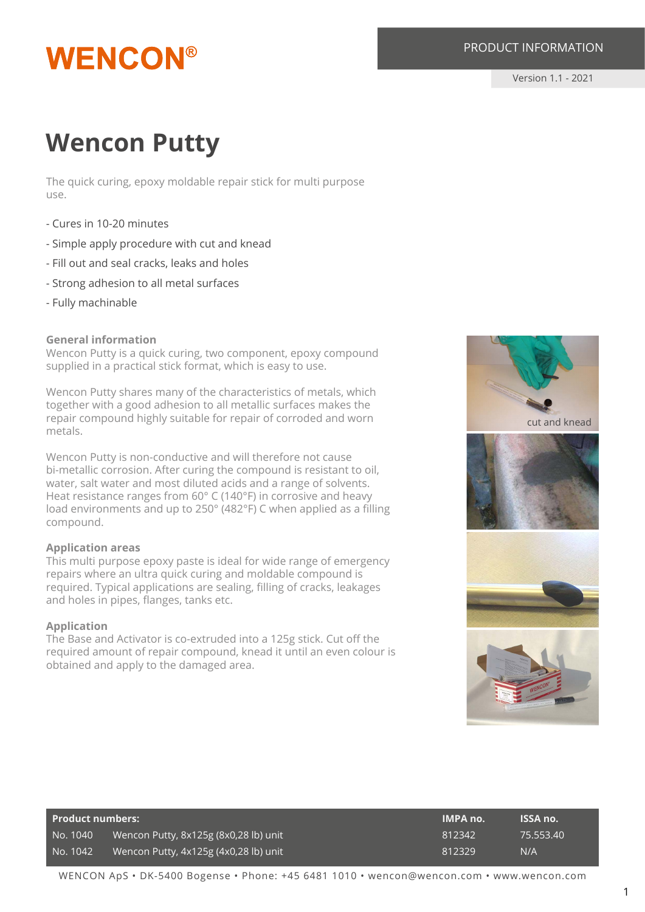## **WENCON®**

#### PRODUCT INFORMATION

Version 1.1 - 2021

### **Wencon Putty**

The quick curing, epoxy moldable repair stick for multi purpose use.

- Cures in 10-20 minutes
- Simple apply procedure with cut and knead
- Fill out and seal cracks, leaks and holes
- Strong adhesion to all metal surfaces
- Fully machinable

#### **General information**

Wencon Putty is a quick curing, two component, epoxy compound supplied in a practical stick format, which is easy to use.

Wencon Putty shares many of the characteristics of metals, which together with a good adhesion to all metallic surfaces makes the repair compound highly suitable for repair of corroded and worn metals.

Wencon Putty is non-conductive and will therefore not cause bi-metallic corrosion. After curing the compound is resistant to oil, water, salt water and most diluted acids and a range of solvents. Heat resistance ranges from 60° C (140°F) in corrosive and heavy load environments and up to 250° (482°F) C when applied as a filling compound.

#### **Application areas**

This multi purpose epoxy paste is ideal for wide range of emergency repairs where an ultra quick curing and moldable compound is required. Typical applications are sealing, filling of cracks, leakages and holes in pipes, flanges, tanks etc.

#### **Application**

The Base and Activator is co-extruded into a 125g stick. Cut off the required amount of repair compound, knead it until an even colour is obtained and apply to the damaged area.



| <b>Product numbers:</b> |                                       | <b>IMPA no.</b> | <b>ISSA no.</b> |
|-------------------------|---------------------------------------|-----------------|-----------------|
| No. 1040                | Wencon Putty, 8x125g (8x0,28 lb) unit | 812342          | 75.553.40       |
| No. 1042                | Wencon Putty, 4x125g (4x0,28 lb) unit | 812329          | N/A             |

WENCON ApS • DK-5400 Bogense • Phone: +45 6481 1010 • wencon@wencon.com • www.wencon.com